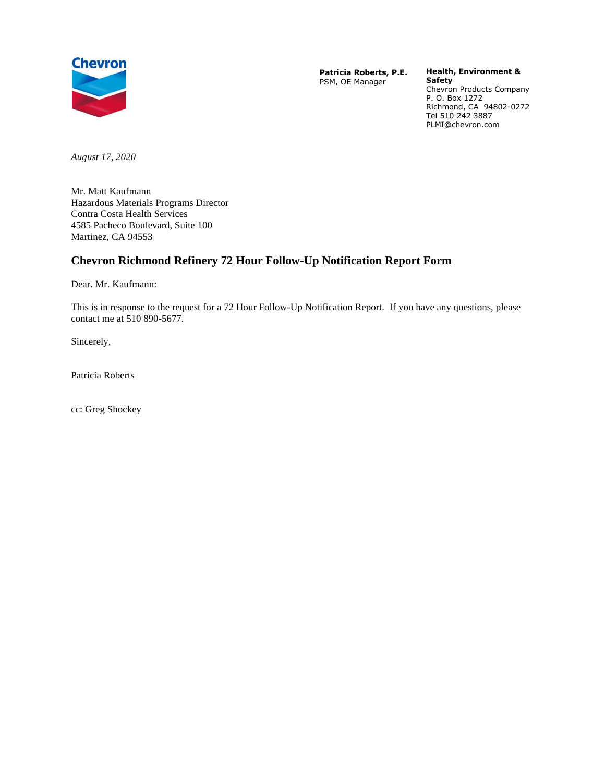

**Patricia Roberts, P.E.** PSM, OE Manager

**Health, Environment & Safety** Chevron Products Company

P. O. Box 1272 Richmond, CA 94802-0272 Tel 510 242 3887 PLMI@chevron.com

*August 17, 2020*

Mr. Matt Kaufmann Hazardous Materials Programs Director Contra Costa Health Services 4585 Pacheco Boulevard, Suite 100 Martinez, CA 94553

# **Chevron Richmond Refinery 72 Hour Follow-Up Notification Report Form**

Dear. Mr. Kaufmann:

This is in response to the request for a 72 Hour Follow-Up Notification Report. If you have any questions, please contact me at 510 890-5677.

Sincerely,

Patricia Roberts

cc: Greg Shockey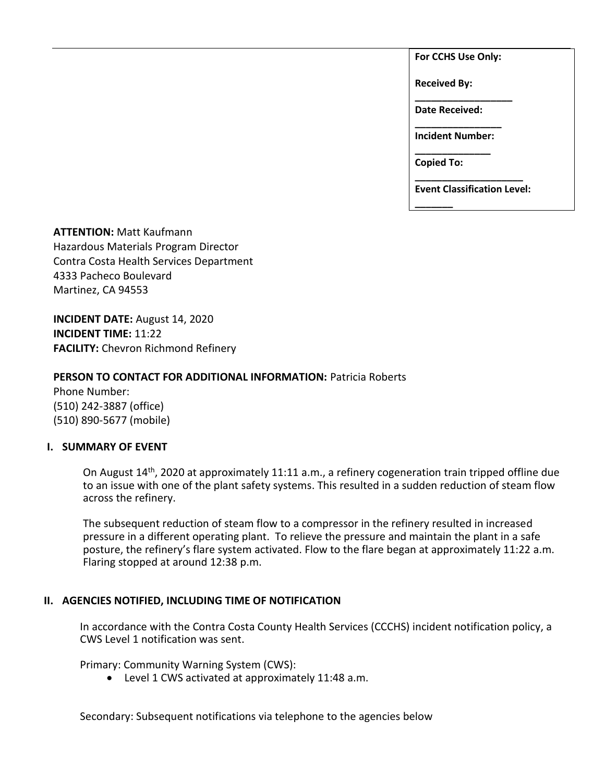**For CCHS Use Only:**

**Received By:** 

**\_\_\_\_\_\_\_\_\_\_\_\_\_\_\_\_\_\_ Date Received:** 

**\_\_\_\_\_\_\_\_\_\_\_\_\_\_\_\_ Incident Number: \_\_\_\_\_\_\_\_\_\_\_\_\_\_**

**Copied To:** 

**\_\_\_\_\_\_\_**

**\_\_\_\_\_\_\_\_\_\_\_\_\_\_\_\_\_\_\_\_ Event Classification Level:** 

**ATTENTION:** Matt Kaufmann Hazardous Materials Program Director Contra Costa Health Services Department 4333 Pacheco Boulevard Martinez, CA 94553

**INCIDENT DATE:** August 14, 2020 **INCIDENT TIME:** 11:22 **FACILITY:** Chevron Richmond Refinery

# **PERSON TO CONTACT FOR ADDITIONAL INFORMATION:** Patricia Roberts

Phone Number: (510) 242-3887 (office) (510) 890-5677 (mobile)

#### **I. SUMMARY OF EVENT**

On August 14th, 2020 at approximately 11:11 a.m., a refinery cogeneration train tripped offline due to an issue with one of the plant safety systems. This resulted in a sudden reduction of steam flow across the refinery.

The subsequent reduction of steam flow to a compressor in the refinery resulted in increased pressure in a different operating plant. To relieve the pressure and maintain the plant in a safe posture, the refinery's flare system activated. Flow to the flare began at approximately 11:22 a.m. Flaring stopped at around 12:38 p.m.

# **II. AGENCIES NOTIFIED, INCLUDING TIME OF NOTIFICATION**

In accordance with the Contra Costa County Health Services (CCCHS) incident notification policy, a CWS Level 1 notification was sent.

Primary: Community Warning System (CWS):

• Level 1 CWS activated at approximately 11:48 a.m.

Secondary: Subsequent notifications via telephone to the agencies below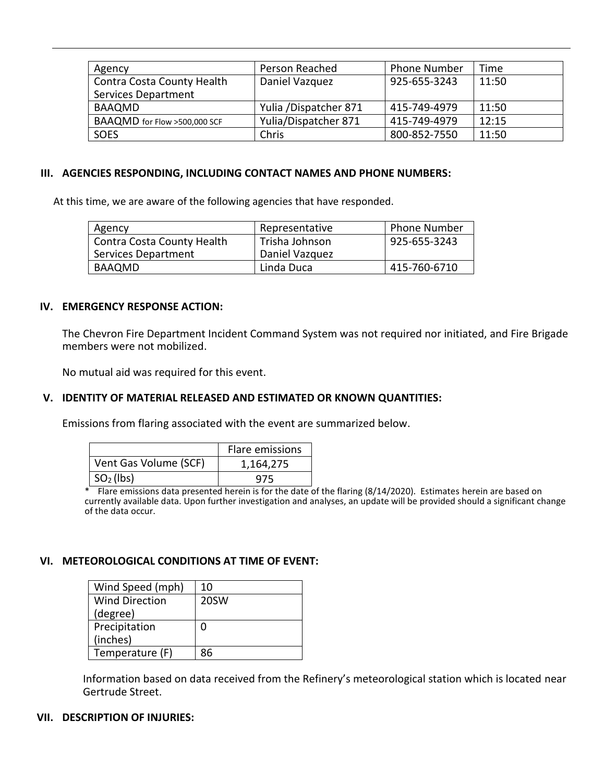| Agency                       | Person Reached        | <b>Phone Number</b> | Time  |
|------------------------------|-----------------------|---------------------|-------|
| Contra Costa County Health   | Daniel Vazquez        | 925-655-3243        | 11:50 |
| <b>Services Department</b>   |                       |                     |       |
| <b>BAAQMD</b>                | Yulia /Dispatcher 871 | 415-749-4979        | 11:50 |
| BAAQMD for Flow >500,000 SCF | Yulia/Dispatcher 871  | 415-749-4979        | 12:15 |
| SOES                         | Chris                 | 800-852-7550        | 11:50 |

#### **III. AGENCIES RESPONDING, INCLUDING CONTACT NAMES AND PHONE NUMBERS:**

At this time, we are aware of the following agencies that have responded.

| Agency                     | Representative | <b>Phone Number</b> |
|----------------------------|----------------|---------------------|
| Contra Costa County Health | Trisha Johnson | 925-655-3243        |
| Services Department        | Daniel Vazquez |                     |
| BAAOMD                     | Linda Duca     | 415-760-6710        |

#### **IV. EMERGENCY RESPONSE ACTION:**

The Chevron Fire Department Incident Command System was not required nor initiated, and Fire Brigade members were not mobilized.

No mutual aid was required for this event.

#### **V. IDENTITY OF MATERIAL RELEASED AND ESTIMATED OR KNOWN QUANTITIES:**

Emissions from flaring associated with the event are summarized below.

|                       | Flare emissions |
|-----------------------|-----------------|
| Vent Gas Volume (SCF) | 1,164,275       |
| $SO2$ (lbs)           | 975             |

\* Flare emissions data presented herein is for the date of the flaring (8/14/2020). Estimates herein are based on currently available data. Upon further investigation and analyses, an update will be provided should a significant change of the data occur.

#### **VI. METEOROLOGICAL CONDITIONS AT TIME OF EVENT:**

| Wind Speed (mph)      | 10   |
|-----------------------|------|
| <b>Wind Direction</b> | 20SW |
| (degree)              |      |
| Precipitation         |      |
| (inches)              |      |
| Temperature (F)       | ጸհ   |

Information based on data received from the Refinery's meteorological station which is located near Gertrude Street.

# **VII. DESCRIPTION OF INJURIES:**